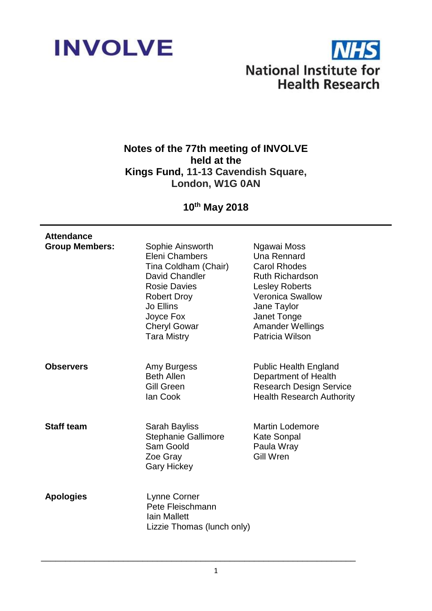



# **Notes of the 77th meeting of INVOLVE held at the Kings Fund, 11-13 Cavendish Square, London, W1G 0AN**

**10th May 2018**

| <b>Attendance</b><br><b>Group Members:</b> | Sophie Ainsworth<br>Eleni Chambers<br>Tina Coldham (Chair)<br>David Chandler<br><b>Rosie Davies</b><br><b>Robert Droy</b><br>Jo Ellins<br>Joyce Fox<br><b>Cheryl Gowar</b><br><b>Tara Mistry</b> | Ngawai Moss<br><b>Una Rennard</b><br><b>Carol Rhodes</b><br><b>Ruth Richardson</b><br><b>Lesley Roberts</b><br><b>Veronica Swallow</b><br>Jane Taylor<br>Janet Tonge<br><b>Amander Wellings</b><br>Patricia Wilson |
|--------------------------------------------|--------------------------------------------------------------------------------------------------------------------------------------------------------------------------------------------------|--------------------------------------------------------------------------------------------------------------------------------------------------------------------------------------------------------------------|
| <b>Observers</b>                           | Amy Burgess<br><b>Beth Allen</b><br><b>Gill Green</b><br>lan Cook                                                                                                                                | <b>Public Health England</b><br>Department of Health<br><b>Research Design Service</b><br><b>Health Research Authority</b>                                                                                         |
| <b>Staff team</b>                          | Sarah Bayliss<br><b>Stephanie Gallimore</b><br>Sam Goold<br>Zoe Gray<br><b>Gary Hickey</b>                                                                                                       | <b>Martin Lodemore</b><br><b>Kate Sonpal</b><br>Paula Wray<br><b>Gill Wren</b>                                                                                                                                     |
| <b>Apologies</b>                           | Lynne Corner<br>Pete Fleischmann<br><b>lain Mallett</b><br>Lizzie Thomas (lunch only)                                                                                                            |                                                                                                                                                                                                                    |

\_\_\_\_\_\_\_\_\_\_\_\_\_\_\_\_\_\_\_\_\_\_\_\_\_\_\_\_\_\_\_\_\_\_\_\_\_\_\_\_\_\_\_\_\_\_\_\_\_\_\_\_\_\_\_\_\_\_\_\_\_\_\_\_\_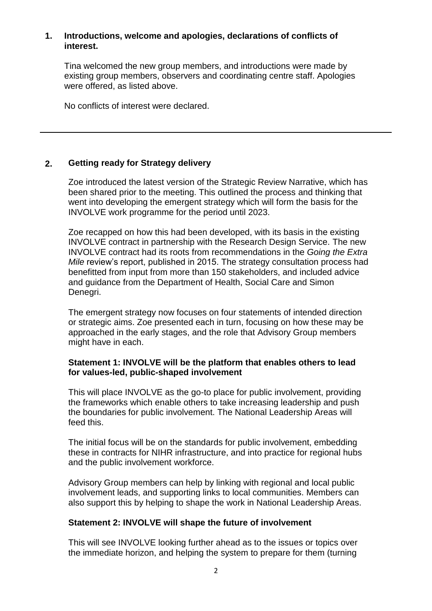### **1. Introductions, welcome and apologies, declarations of conflicts of interest.**

Tina welcomed the new group members, and introductions were made by existing group members, observers and coordinating centre staff. Apologies were offered, as listed above.

No conflicts of interest were declared.

## **2. Getting ready for Strategy delivery**

Zoe introduced the latest version of the Strategic Review Narrative, which has been shared prior to the meeting. This outlined the process and thinking that went into developing the emergent strategy which will form the basis for the INVOLVE work programme for the period until 2023.

Zoe recapped on how this had been developed, with its basis in the existing INVOLVE contract in partnership with the Research Design Service. The new INVOLVE contract had its roots from recommendations in the *Going the Extra Mile* review's report, published in 2015. The strategy consultation process had benefitted from input from more than 150 stakeholders, and included advice and guidance from the Department of Health, Social Care and Simon Denegri.

The emergent strategy now focuses on four statements of intended direction or strategic aims. Zoe presented each in turn, focusing on how these may be approached in the early stages, and the role that Advisory Group members might have in each.

## **Statement 1: INVOLVE will be the platform that enables others to lead for values-led, public-shaped involvement**

This will place INVOLVE as the go-to place for public involvement, providing the frameworks which enable others to take increasing leadership and push the boundaries for public involvement. The National Leadership Areas will feed this.

The initial focus will be on the standards for public involvement, embedding these in contracts for NIHR infrastructure, and into practice for regional hubs and the public involvement workforce.

Advisory Group members can help by linking with regional and local public involvement leads, and supporting links to local communities. Members can also support this by helping to shape the work in National Leadership Areas.

## **Statement 2: INVOLVE will shape the future of involvement**

This will see INVOLVE looking further ahead as to the issues or topics over the immediate horizon, and helping the system to prepare for them (turning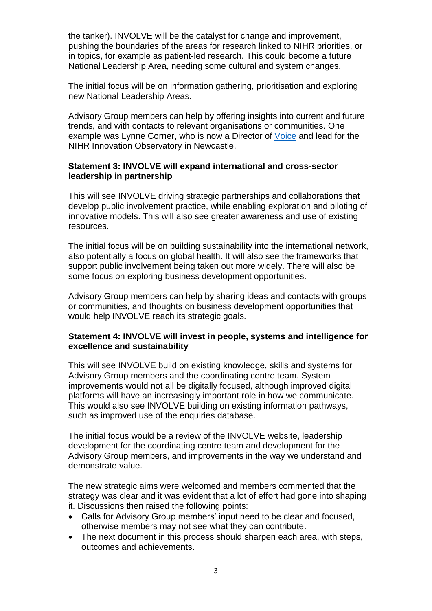the tanker). INVOLVE will be the catalyst for change and improvement, pushing the boundaries of the areas for research linked to NIHR priorities, or in topics, for example as patient-led research. This could become a future National Leadership Area, needing some cultural and system changes.

The initial focus will be on information gathering, prioritisation and exploring new National Leadership Areas.

Advisory Group members can help by offering insights into current and future trends, and with contacts to relevant organisations or communities. One example was Lynne Corner, who is now a Director of [Voice](https://www.voice-global.org/) and lead for the NIHR Innovation Observatory in Newcastle.

### **Statement 3: INVOLVE will expand international and cross-sector leadership in partnership**

This will see INVOLVE driving strategic partnerships and collaborations that develop public involvement practice, while enabling exploration and piloting of innovative models. This will also see greater awareness and use of existing resources.

The initial focus will be on building sustainability into the international network, also potentially a focus on global health. It will also see the frameworks that support public involvement being taken out more widely. There will also be some focus on exploring business development opportunities.

Advisory Group members can help by sharing ideas and contacts with groups or communities, and thoughts on business development opportunities that would help INVOLVE reach its strategic goals.

## **Statement 4: INVOLVE will invest in people, systems and intelligence for excellence and sustainability**

This will see INVOLVE build on existing knowledge, skills and systems for Advisory Group members and the coordinating centre team. System improvements would not all be digitally focused, although improved digital platforms will have an increasingly important role in how we communicate. This would also see INVOLVE building on existing information pathways, such as improved use of the enquiries database.

The initial focus would be a review of the INVOLVE website, leadership development for the coordinating centre team and development for the Advisory Group members, and improvements in the way we understand and demonstrate value.

The new strategic aims were welcomed and members commented that the strategy was clear and it was evident that a lot of effort had gone into shaping it. Discussions then raised the following points:

- Calls for Advisory Group members' input need to be clear and focused, otherwise members may not see what they can contribute.
- The next document in this process should sharpen each area, with steps, outcomes and achievements.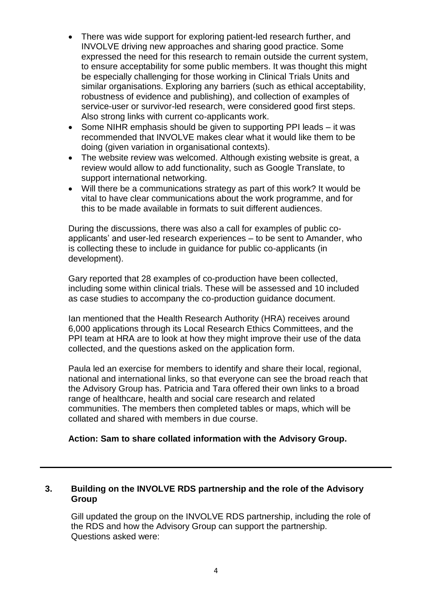- There was wide support for exploring patient-led research further, and INVOLVE driving new approaches and sharing good practice. Some expressed the need for this research to remain outside the current system, to ensure acceptability for some public members. It was thought this might be especially challenging for those working in Clinical Trials Units and similar organisations. Exploring any barriers (such as ethical acceptability, robustness of evidence and publishing), and collection of examples of service-user or survivor-led research, were considered good first steps. Also strong links with current co-applicants work.
- Some NIHR emphasis should be given to supporting PPI leads it was recommended that INVOLVE makes clear what it would like them to be doing (given variation in organisational contexts).
- The website review was welcomed. Although existing website is great, a review would allow to add functionality, such as Google Translate, to support international networking.
- Will there be a communications strategy as part of this work? It would be vital to have clear communications about the work programme, and for this to be made available in formats to suit different audiences.

During the discussions, there was also a call for examples of public coapplicants' and user-led research experiences – to be sent to Amander, who is collecting these to include in guidance for public co-applicants (in development).

Gary reported that 28 examples of co-production have been collected, including some within clinical trials. These will be assessed and 10 included as case studies to accompany the co-production guidance document.

Ian mentioned that the Health Research Authority (HRA) receives around 6,000 applications through its Local Research Ethics Committees, and the PPI team at HRA are to look at how they might improve their use of the data collected, and the questions asked on the application form.

Paula led an exercise for members to identify and share their local, regional, national and international links, so that everyone can see the broad reach that the Advisory Group has. Patricia and Tara offered their own links to a broad range of healthcare, health and social care research and related communities. The members then completed tables or maps, which will be collated and shared with members in due course.

## **Action: Sam to share collated information with the Advisory Group.**

## **3. Building on the INVOLVE RDS partnership and the role of the Advisory Group**

Gill updated the group on the INVOLVE RDS partnership, including the role of the RDS and how the Advisory Group can support the partnership. Questions asked were: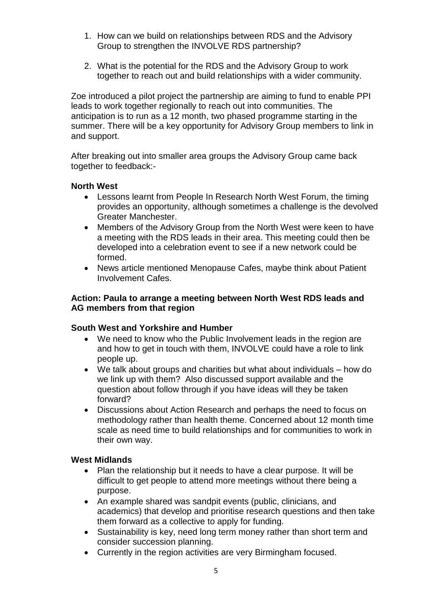- 1. How can we build on relationships between RDS and the Advisory Group to strengthen the INVOLVE RDS partnership?
- 2. What is the potential for the RDS and the Advisory Group to work together to reach out and build relationships with a wider community.

Zoe introduced a pilot project the partnership are aiming to fund to enable PPI leads to work together regionally to reach out into communities. The anticipation is to run as a 12 month, two phased programme starting in the summer. There will be a key opportunity for Advisory Group members to link in and support.

After breaking out into smaller area groups the Advisory Group came back together to feedback:-

## **North West**

- Lessons learnt from People In Research North West Forum, the timing provides an opportunity, although sometimes a challenge is the devolved Greater Manchester.
- Members of the Advisory Group from the North West were keen to have a meeting with the RDS leads in their area. This meeting could then be developed into a celebration event to see if a new network could be formed.
- News article mentioned Menopause Cafes, maybe think about Patient Involvement Cafes.

### **Action: Paula to arrange a meeting between North West RDS leads and AG members from that region**

#### **South West and Yorkshire and Humber**

- We need to know who the Public Involvement leads in the region are and how to get in touch with them, INVOLVE could have a role to link people up.
- We talk about groups and charities but what about individuals how do we link up with them? Also discussed support available and the question about follow through if you have ideas will they be taken forward?
- Discussions about Action Research and perhaps the need to focus on methodology rather than health theme. Concerned about 12 month time scale as need time to build relationships and for communities to work in their own way.

#### **West Midlands**

- Plan the relationship but it needs to have a clear purpose. It will be difficult to get people to attend more meetings without there being a purpose.
- An example shared was sandpit events (public, clinicians, and academics) that develop and prioritise research questions and then take them forward as a collective to apply for funding.
- Sustainability is key, need long term money rather than short term and consider succession planning.
- Currently in the region activities are very Birmingham focused.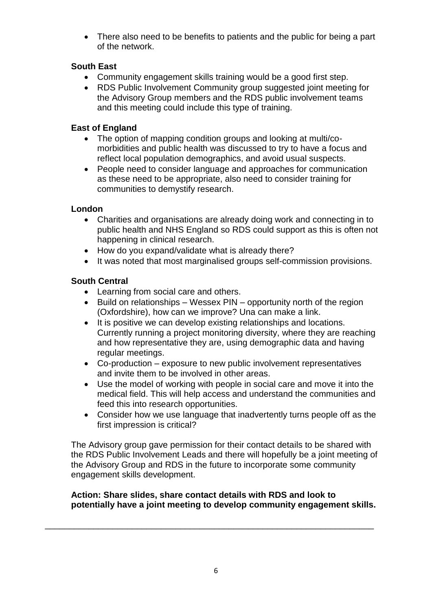• There also need to be benefits to patients and the public for being a part of the network.

## **South East**

- Community engagement skills training would be a good first step.
- RDS Public Involvement Community group suggested joint meeting for the Advisory Group members and the RDS public involvement teams and this meeting could include this type of training.

## **East of England**

- The option of mapping condition groups and looking at multi/comorbidities and public health was discussed to try to have a focus and reflect local population demographics, and avoid usual suspects.
- People need to consider language and approaches for communication as these need to be appropriate, also need to consider training for communities to demystify research.

## **London**

- Charities and organisations are already doing work and connecting in to public health and NHS England so RDS could support as this is often not happening in clinical research.
- How do you expand/validate what is already there?
- It was noted that most marginalised groups self-commission provisions.

## **South Central**

- Learning from social care and others.
- Build on relationships Wessex PIN opportunity north of the region (Oxfordshire), how can we improve? Una can make a link.
- It is positive we can develop existing relationships and locations. Currently running a project monitoring diversity, where they are reaching and how representative they are, using demographic data and having regular meetings.
- Co-production exposure to new public involvement representatives and invite them to be involved in other areas.
- Use the model of working with people in social care and move it into the medical field. This will help access and understand the communities and feed this into research opportunities.
- Consider how we use language that inadvertently turns people off as the first impression is critical?

The Advisory group gave permission for their contact details to be shared with the RDS Public Involvement Leads and there will hopefully be a joint meeting of the Advisory Group and RDS in the future to incorporate some community engagement skills development.

## **Action: Share slides, share contact details with RDS and look to potentially have a joint meeting to develop community engagement skills.**

\_\_\_\_\_\_\_\_\_\_\_\_\_\_\_\_\_\_\_\_\_\_\_\_\_\_\_\_\_\_\_\_\_\_\_\_\_\_\_\_\_\_\_\_\_\_\_\_\_\_\_\_\_\_\_\_\_\_\_\_\_\_\_\_\_\_\_\_